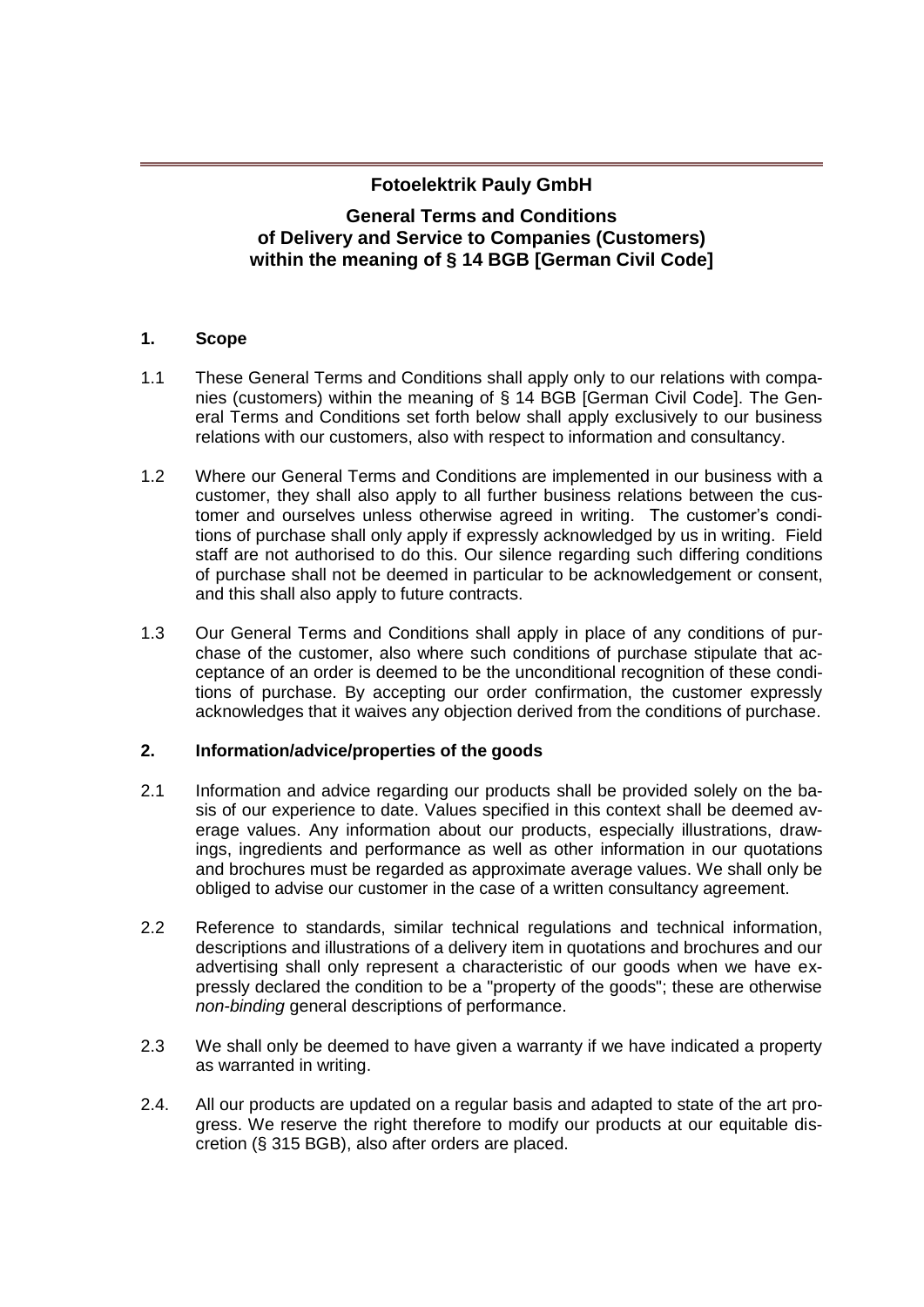# **Fotoelektrik Pauly GmbH**

# **General Terms and Conditions of Delivery and Service to Companies (Customers) within the meaning of § 14 BGB [German Civil Code]**

## **1. Scope**

- 1.1 These General Terms and Conditions shall apply only to our relations with companies (customers) within the meaning of § 14 BGB [German Civil Code]. The General Terms and Conditions set forth below shall apply exclusively to our business relations with our customers, also with respect to information and consultancy.
- 1.2 Where our General Terms and Conditions are implemented in our business with a customer, they shall also apply to all further business relations between the customer and ourselves unless otherwise agreed in writing. The customer's conditions of purchase shall only apply if expressly acknowledged by us in writing. Field staff are not authorised to do this. Our silence regarding such differing conditions of purchase shall not be deemed in particular to be acknowledgement or consent, and this shall also apply to future contracts.
- 1.3 Our General Terms and Conditions shall apply in place of any conditions of purchase of the customer, also where such conditions of purchase stipulate that acceptance of an order is deemed to be the unconditional recognition of these conditions of purchase. By accepting our order confirmation, the customer expressly acknowledges that it waives any objection derived from the conditions of purchase.

# **2. Information/advice/properties of the goods**

- 2.1 Information and advice regarding our products shall be provided solely on the basis of our experience to date. Values specified in this context shall be deemed average values. Any information about our products, especially illustrations, drawings, ingredients and performance as well as other information in our quotations and brochures must be regarded as approximate average values. We shall only be obliged to advise our customer in the case of a written consultancy agreement.
- 2.2 Reference to standards, similar technical regulations and technical information, descriptions and illustrations of a delivery item in quotations and brochures and our advertising shall only represent a characteristic of our goods when we have expressly declared the condition to be a "property of the goods"; these are otherwise *non-binding* general descriptions of performance.
- 2.3 We shall only be deemed to have given a warranty if we have indicated a property as warranted in writing.
- 2.4. All our products are updated on a regular basis and adapted to state of the art progress. We reserve the right therefore to modify our products at our equitable discretion (§ 315 BGB), also after orders are placed.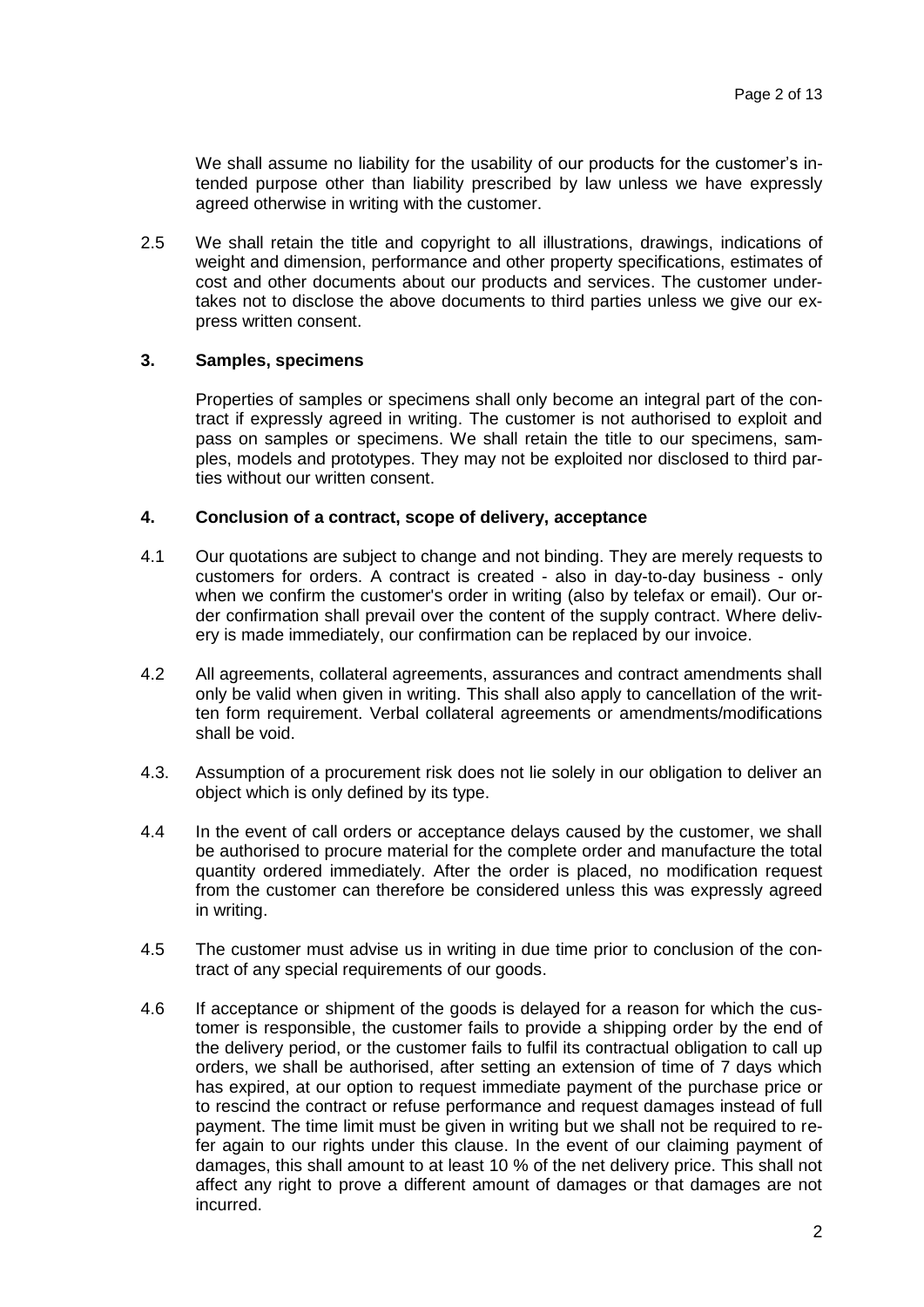We shall assume no liability for the usability of our products for the customer's intended purpose other than liability prescribed by law unless we have expressly agreed otherwise in writing with the customer.

2.5 We shall retain the title and copyright to all illustrations, drawings, indications of weight and dimension, performance and other property specifications, estimates of cost and other documents about our products and services. The customer undertakes not to disclose the above documents to third parties unless we give our express written consent.

## **3. Samples, specimens**

Properties of samples or specimens shall only become an integral part of the contract if expressly agreed in writing. The customer is not authorised to exploit and pass on samples or specimens. We shall retain the title to our specimens, samples, models and prototypes. They may not be exploited nor disclosed to third parties without our written consent.

### **4. Conclusion of a contract, scope of delivery, acceptance**

- 4.1 Our quotations are subject to change and not binding. They are merely requests to customers for orders. A contract is created - also in day-to-day business - only when we confirm the customer's order in writing (also by telefax or email). Our order confirmation shall prevail over the content of the supply contract. Where delivery is made immediately, our confirmation can be replaced by our invoice.
- 4.2 All agreements, collateral agreements, assurances and contract amendments shall only be valid when given in writing. This shall also apply to cancellation of the written form requirement. Verbal collateral agreements or amendments/modifications shall be void.
- 4.3. Assumption of a procurement risk does not lie solely in our obligation to deliver an object which is only defined by its type.
- 4.4 In the event of call orders or acceptance delays caused by the customer, we shall be authorised to procure material for the complete order and manufacture the total quantity ordered immediately. After the order is placed, no modification request from the customer can therefore be considered unless this was expressly agreed in writing.
- 4.5 The customer must advise us in writing in due time prior to conclusion of the contract of any special requirements of our goods.
- 4.6 If acceptance or shipment of the goods is delayed for a reason for which the customer is responsible, the customer fails to provide a shipping order by the end of the delivery period, or the customer fails to fulfil its contractual obligation to call up orders, we shall be authorised, after setting an extension of time of 7 days which has expired, at our option to request immediate payment of the purchase price or to rescind the contract or refuse performance and request damages instead of full payment. The time limit must be given in writing but we shall not be required to refer again to our rights under this clause. In the event of our claiming payment of damages, this shall amount to at least 10 % of the net delivery price. This shall not affect any right to prove a different amount of damages or that damages are not incurred.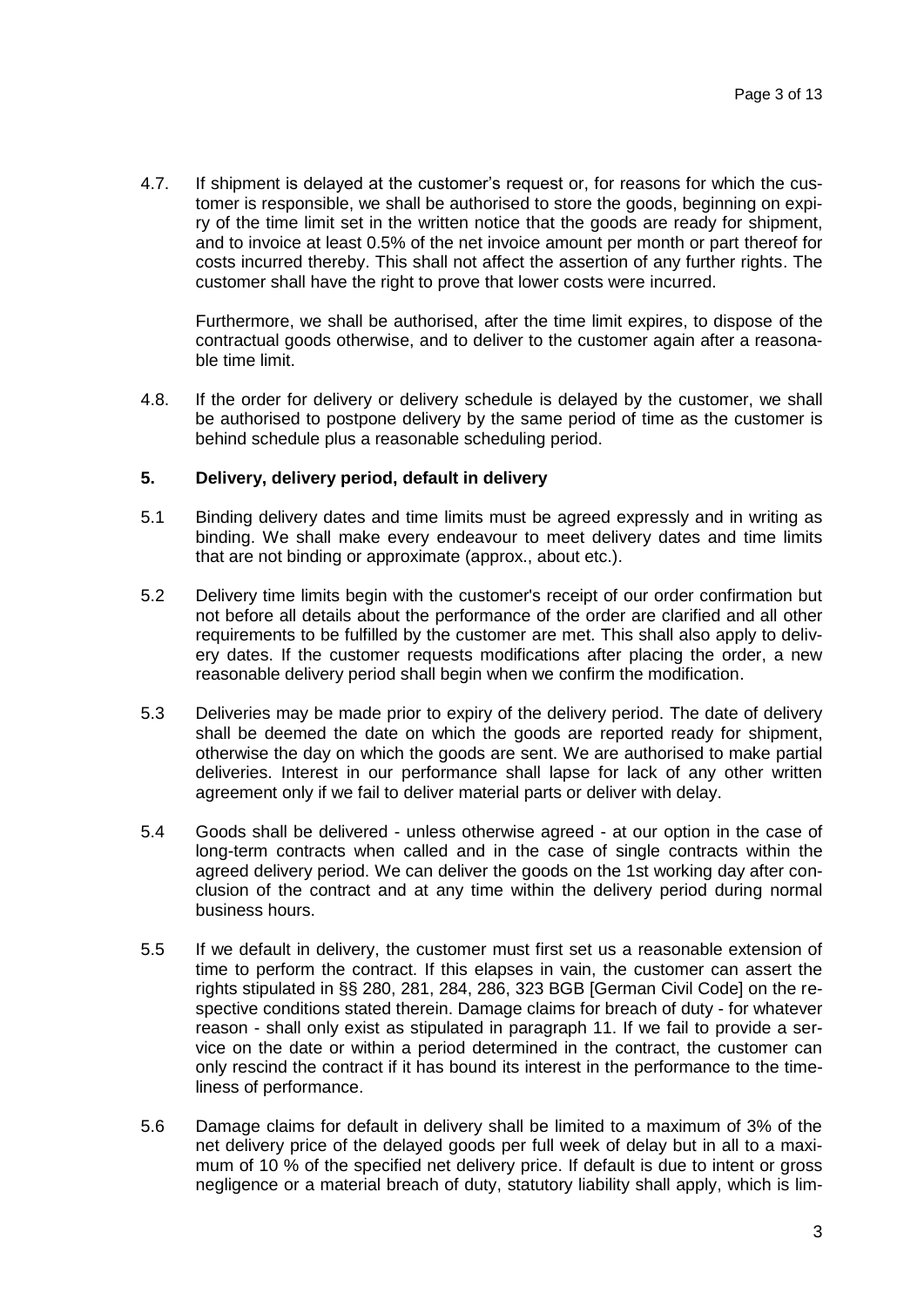4.7. If shipment is delayed at the customer's request or, for reasons for which the customer is responsible, we shall be authorised to store the goods, beginning on expiry of the time limit set in the written notice that the goods are ready for shipment, and to invoice at least 0.5% of the net invoice amount per month or part thereof for costs incurred thereby. This shall not affect the assertion of any further rights. The customer shall have the right to prove that lower costs were incurred.

Furthermore, we shall be authorised, after the time limit expires, to dispose of the contractual goods otherwise, and to deliver to the customer again after a reasonable time limit.

4.8. If the order for delivery or delivery schedule is delayed by the customer, we shall be authorised to postpone delivery by the same period of time as the customer is behind schedule plus a reasonable scheduling period.

# **5. Delivery, delivery period, default in delivery**

- 5.1 Binding delivery dates and time limits must be agreed expressly and in writing as binding. We shall make every endeavour to meet delivery dates and time limits that are not binding or approximate (approx., about etc.).
- 5.2 Delivery time limits begin with the customer's receipt of our order confirmation but not before all details about the performance of the order are clarified and all other requirements to be fulfilled by the customer are met. This shall also apply to delivery dates. If the customer requests modifications after placing the order, a new reasonable delivery period shall begin when we confirm the modification.
- 5.3 Deliveries may be made prior to expiry of the delivery period. The date of delivery shall be deemed the date on which the goods are reported ready for shipment, otherwise the day on which the goods are sent. We are authorised to make partial deliveries. Interest in our performance shall lapse for lack of any other written agreement only if we fail to deliver material parts or deliver with delay.
- 5.4 Goods shall be delivered unless otherwise agreed at our option in the case of long-term contracts when called and in the case of single contracts within the agreed delivery period. We can deliver the goods on the 1st working day after conclusion of the contract and at any time within the delivery period during normal business hours.
- 5.5 If we default in delivery, the customer must first set us a reasonable extension of time to perform the contract. If this elapses in vain, the customer can assert the rights stipulated in §§ 280, 281, 284, 286, 323 BGB [German Civil Code] on the respective conditions stated therein. Damage claims for breach of duty - for whatever reason - shall only exist as stipulated in paragraph 11. If we fail to provide a service on the date or within a period determined in the contract, the customer can only rescind the contract if it has bound its interest in the performance to the timeliness of performance.
- 5.6 Damage claims for default in delivery shall be limited to a maximum of 3% of the net delivery price of the delayed goods per full week of delay but in all to a maximum of 10 % of the specified net delivery price. If default is due to intent or gross negligence or a material breach of duty, statutory liability shall apply, which is lim-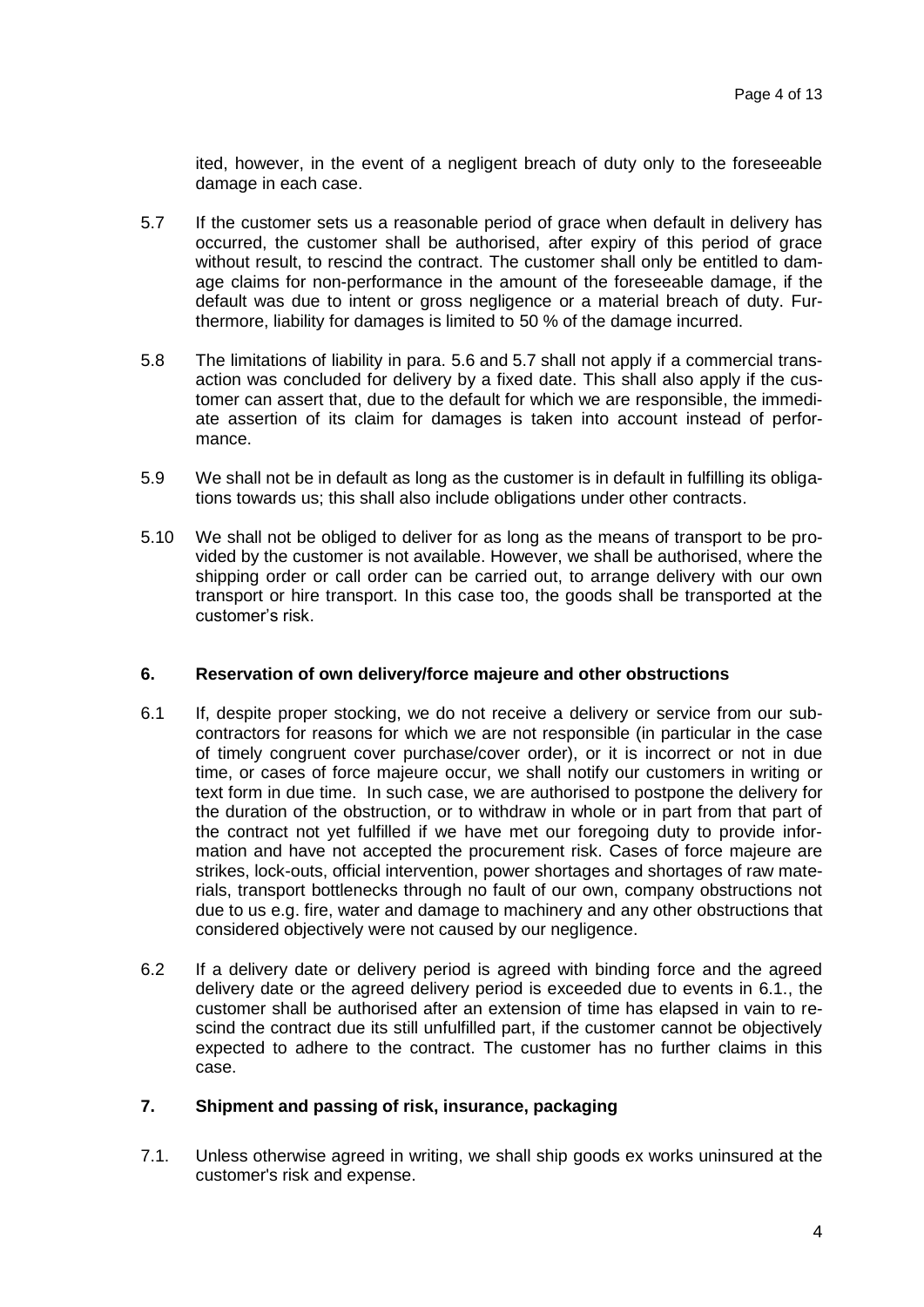ited, however, in the event of a negligent breach of duty only to the foreseeable damage in each case.

- 5.7 If the customer sets us a reasonable period of grace when default in delivery has occurred, the customer shall be authorised, after expiry of this period of grace without result, to rescind the contract. The customer shall only be entitled to damage claims for non-performance in the amount of the foreseeable damage, if the default was due to intent or gross negligence or a material breach of duty. Furthermore, liability for damages is limited to 50 % of the damage incurred.
- 5.8 The limitations of liability in para. 5.6 and 5.7 shall not apply if a commercial transaction was concluded for delivery by a fixed date. This shall also apply if the customer can assert that, due to the default for which we are responsible, the immediate assertion of its claim for damages is taken into account instead of performance.
- 5.9 We shall not be in default as long as the customer is in default in fulfilling its obligations towards us; this shall also include obligations under other contracts.
- 5.10 We shall not be obliged to deliver for as long as the means of transport to be provided by the customer is not available. However, we shall be authorised, where the shipping order or call order can be carried out, to arrange delivery with our own transport or hire transport. In this case too, the goods shall be transported at the customer's risk.

### **6. Reservation of own delivery/force majeure and other obstructions**

- 6.1 If, despite proper stocking, we do not receive a delivery or service from our subcontractors for reasons for which we are not responsible (in particular in the case of timely congruent cover purchase/cover order), or it is incorrect or not in due time, or cases of force majeure occur, we shall notify our customers in writing or text form in due time. In such case, we are authorised to postpone the delivery for the duration of the obstruction, or to withdraw in whole or in part from that part of the contract not yet fulfilled if we have met our foregoing duty to provide information and have not accepted the procurement risk. Cases of force majeure are strikes, lock-outs, official intervention, power shortages and shortages of raw materials, transport bottlenecks through no fault of our own, company obstructions not due to us e.g. fire, water and damage to machinery and any other obstructions that considered objectively were not caused by our negligence.
- 6.2 If a delivery date or delivery period is agreed with binding force and the agreed delivery date or the agreed delivery period is exceeded due to events in 6.1., the customer shall be authorised after an extension of time has elapsed in vain to rescind the contract due its still unfulfilled part, if the customer cannot be objectively expected to adhere to the contract. The customer has no further claims in this case.

# **7. Shipment and passing of risk, insurance, packaging**

7.1. Unless otherwise agreed in writing, we shall ship goods ex works uninsured at the customer's risk and expense.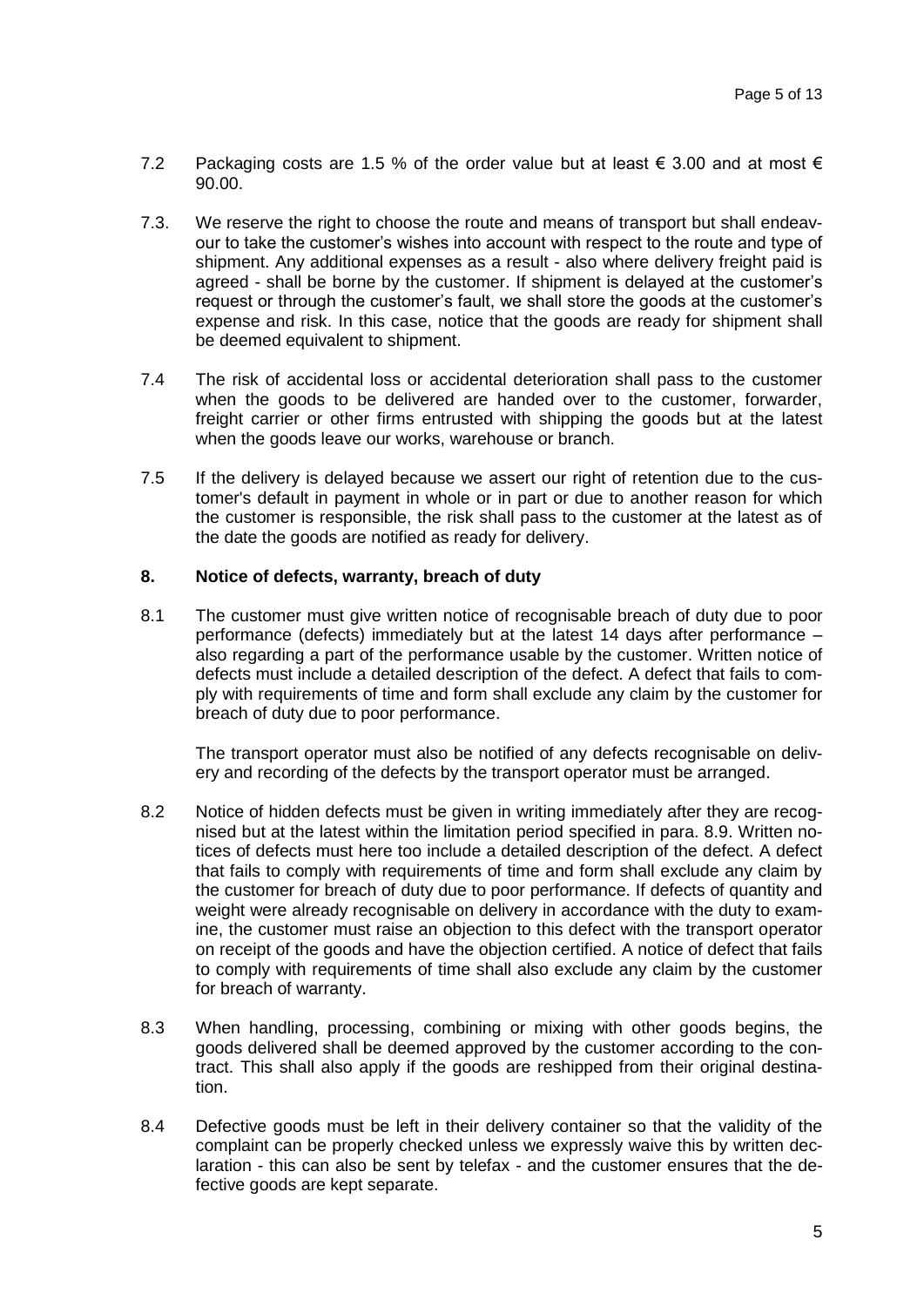- 7.2 Packaging costs are 1.5 % of the order value but at least  $\epsilon$  3.00 and at most  $\epsilon$ 90.00.
- 7.3. We reserve the right to choose the route and means of transport but shall endeavour to take the customer's wishes into account with respect to the route and type of shipment. Any additional expenses as a result - also where delivery freight paid is agreed - shall be borne by the customer. If shipment is delayed at the customer's request or through the customer's fault, we shall store the goods at the customer's expense and risk. In this case, notice that the goods are ready for shipment shall be deemed equivalent to shipment.
- 7.4 The risk of accidental loss or accidental deterioration shall pass to the customer when the goods to be delivered are handed over to the customer, forwarder, freight carrier or other firms entrusted with shipping the goods but at the latest when the goods leave our works, warehouse or branch.
- 7.5 If the delivery is delayed because we assert our right of retention due to the customer's default in payment in whole or in part or due to another reason for which the customer is responsible, the risk shall pass to the customer at the latest as of the date the goods are notified as ready for delivery.

## **8. Notice of defects, warranty, breach of duty**

8.1 The customer must give written notice of recognisable breach of duty due to poor performance (defects) immediately but at the latest 14 days after performance – also regarding a part of the performance usable by the customer. Written notice of defects must include a detailed description of the defect. A defect that fails to comply with requirements of time and form shall exclude any claim by the customer for breach of duty due to poor performance.

The transport operator must also be notified of any defects recognisable on delivery and recording of the defects by the transport operator must be arranged.

- 8.2 Notice of hidden defects must be given in writing immediately after they are recognised but at the latest within the limitation period specified in para. 8.9. Written notices of defects must here too include a detailed description of the defect. A defect that fails to comply with requirements of time and form shall exclude any claim by the customer for breach of duty due to poor performance. If defects of quantity and weight were already recognisable on delivery in accordance with the duty to examine, the customer must raise an objection to this defect with the transport operator on receipt of the goods and have the objection certified. A notice of defect that fails to comply with requirements of time shall also exclude any claim by the customer for breach of warranty.
- 8.3 When handling, processing, combining or mixing with other goods begins, the goods delivered shall be deemed approved by the customer according to the contract. This shall also apply if the goods are reshipped from their original destination.
- 8.4 Defective goods must be left in their delivery container so that the validity of the complaint can be properly checked unless we expressly waive this by written declaration - this can also be sent by telefax - and the customer ensures that the defective goods are kept separate.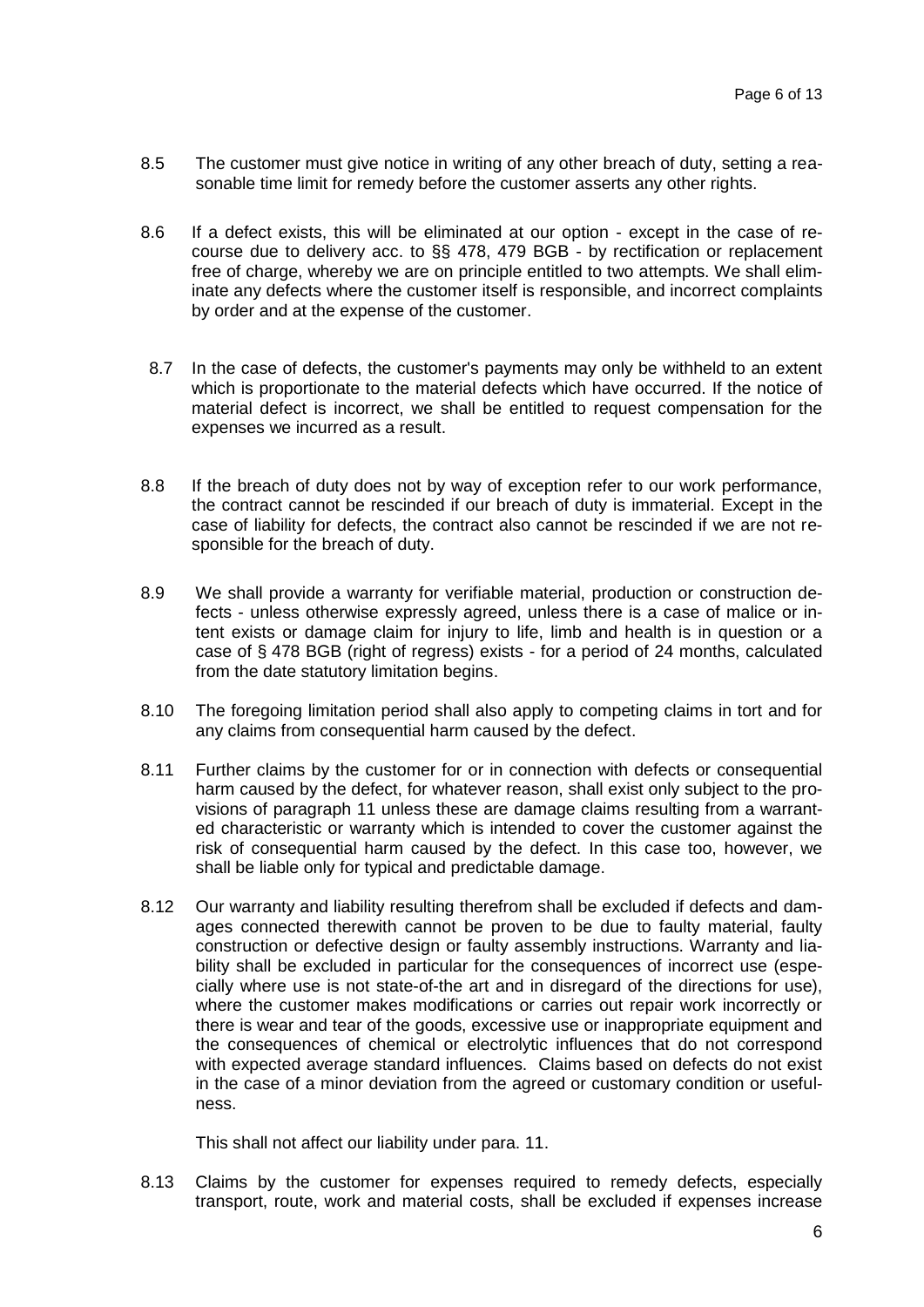- 8.5 The customer must give notice in writing of any other breach of duty, setting a reasonable time limit for remedy before the customer asserts any other rights.
- 8.6 If a defect exists, this will be eliminated at our option except in the case of recourse due to delivery acc. to §§ 478, 479 BGB - by rectification or replacement free of charge, whereby we are on principle entitled to two attempts. We shall eliminate any defects where the customer itself is responsible, and incorrect complaints by order and at the expense of the customer.
- 8.7 In the case of defects, the customer's payments may only be withheld to an extent which is proportionate to the material defects which have occurred. If the notice of material defect is incorrect, we shall be entitled to request compensation for the expenses we incurred as a result.
- 8.8 If the breach of duty does not by way of exception refer to our work performance, the contract cannot be rescinded if our breach of duty is immaterial. Except in the case of liability for defects, the contract also cannot be rescinded if we are not responsible for the breach of duty.
- 8.9 We shall provide a warranty for verifiable material, production or construction defects - unless otherwise expressly agreed, unless there is a case of malice or intent exists or damage claim for injury to life, limb and health is in question or a case of § 478 BGB (right of regress) exists - for a period of 24 months, calculated from the date statutory limitation begins.
- 8.10 The foregoing limitation period shall also apply to competing claims in tort and for any claims from consequential harm caused by the defect.
- 8.11 Further claims by the customer for or in connection with defects or consequential harm caused by the defect, for whatever reason, shall exist only subject to the provisions of paragraph 11 unless these are damage claims resulting from a warranted characteristic or warranty which is intended to cover the customer against the risk of consequential harm caused by the defect. In this case too, however, we shall be liable only for typical and predictable damage.
- 8.12 Our warranty and liability resulting therefrom shall be excluded if defects and damages connected therewith cannot be proven to be due to faulty material, faulty construction or defective design or faulty assembly instructions. Warranty and liability shall be excluded in particular for the consequences of incorrect use (especially where use is not state-of-the art and in disregard of the directions for use), where the customer makes modifications or carries out repair work incorrectly or there is wear and tear of the goods, excessive use or inappropriate equipment and the consequences of chemical or electrolytic influences that do not correspond with expected average standard influences. Claims based on defects do not exist in the case of a minor deviation from the agreed or customary condition or usefulness.

This shall not affect our liability under para. 11.

8.13 Claims by the customer for expenses required to remedy defects, especially transport, route, work and material costs, shall be excluded if expenses increase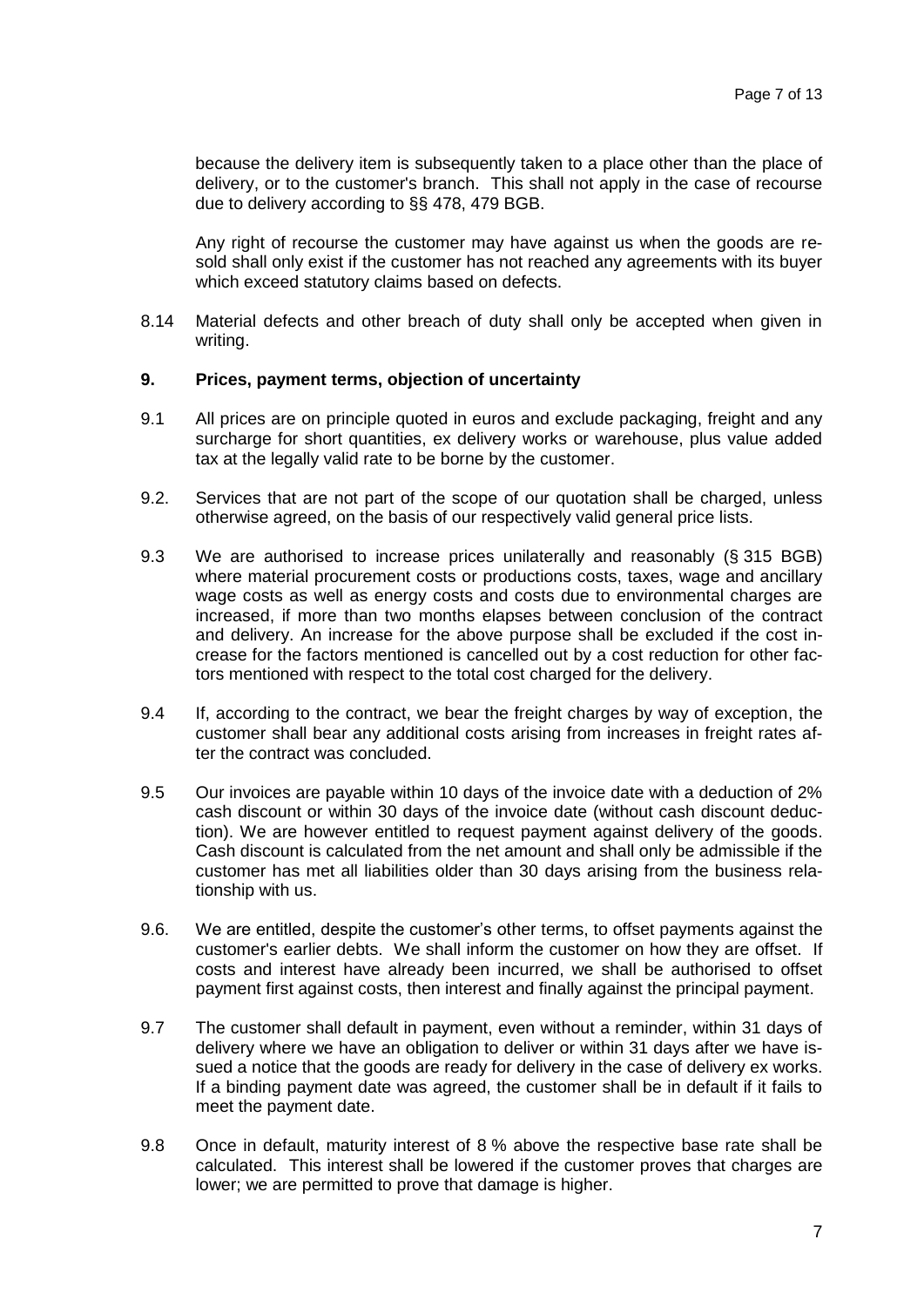because the delivery item is subsequently taken to a place other than the place of delivery, or to the customer's branch. This shall not apply in the case of recourse due to delivery according to §§ 478, 479 BGB.

Any right of recourse the customer may have against us when the goods are resold shall only exist if the customer has not reached any agreements with its buyer which exceed statutory claims based on defects.

8.14 Material defects and other breach of duty shall only be accepted when given in writing.

#### **9. Prices, payment terms, objection of uncertainty**

- 9.1 All prices are on principle quoted in euros and exclude packaging, freight and any surcharge for short quantities, ex delivery works or warehouse, plus value added tax at the legally valid rate to be borne by the customer.
- 9.2. Services that are not part of the scope of our quotation shall be charged, unless otherwise agreed, on the basis of our respectively valid general price lists.
- 9.3 We are authorised to increase prices unilaterally and reasonably (§ 315 BGB) where material procurement costs or productions costs, taxes, wage and ancillary wage costs as well as energy costs and costs due to environmental charges are increased, if more than two months elapses between conclusion of the contract and delivery. An increase for the above purpose shall be excluded if the cost increase for the factors mentioned is cancelled out by a cost reduction for other factors mentioned with respect to the total cost charged for the delivery.
- 9.4 If, according to the contract, we bear the freight charges by way of exception, the customer shall bear any additional costs arising from increases in freight rates after the contract was concluded.
- 9.5 Our invoices are payable within 10 days of the invoice date with a deduction of 2% cash discount or within 30 days of the invoice date (without cash discount deduction). We are however entitled to request payment against delivery of the goods. Cash discount is calculated from the net amount and shall only be admissible if the customer has met all liabilities older than 30 days arising from the business relationship with us.
- 9.6. We are entitled, despite the customer's other terms, to offset payments against the customer's earlier debts. We shall inform the customer on how they are offset. If costs and interest have already been incurred, we shall be authorised to offset payment first against costs, then interest and finally against the principal payment.
- 9.7 The customer shall default in payment, even without a reminder, within 31 days of delivery where we have an obligation to deliver or within 31 days after we have issued a notice that the goods are ready for delivery in the case of delivery ex works. If a binding payment date was agreed, the customer shall be in default if it fails to meet the payment date.
- 9.8 Once in default, maturity interest of 8 % above the respective base rate shall be calculated. This interest shall be lowered if the customer proves that charges are lower; we are permitted to prove that damage is higher.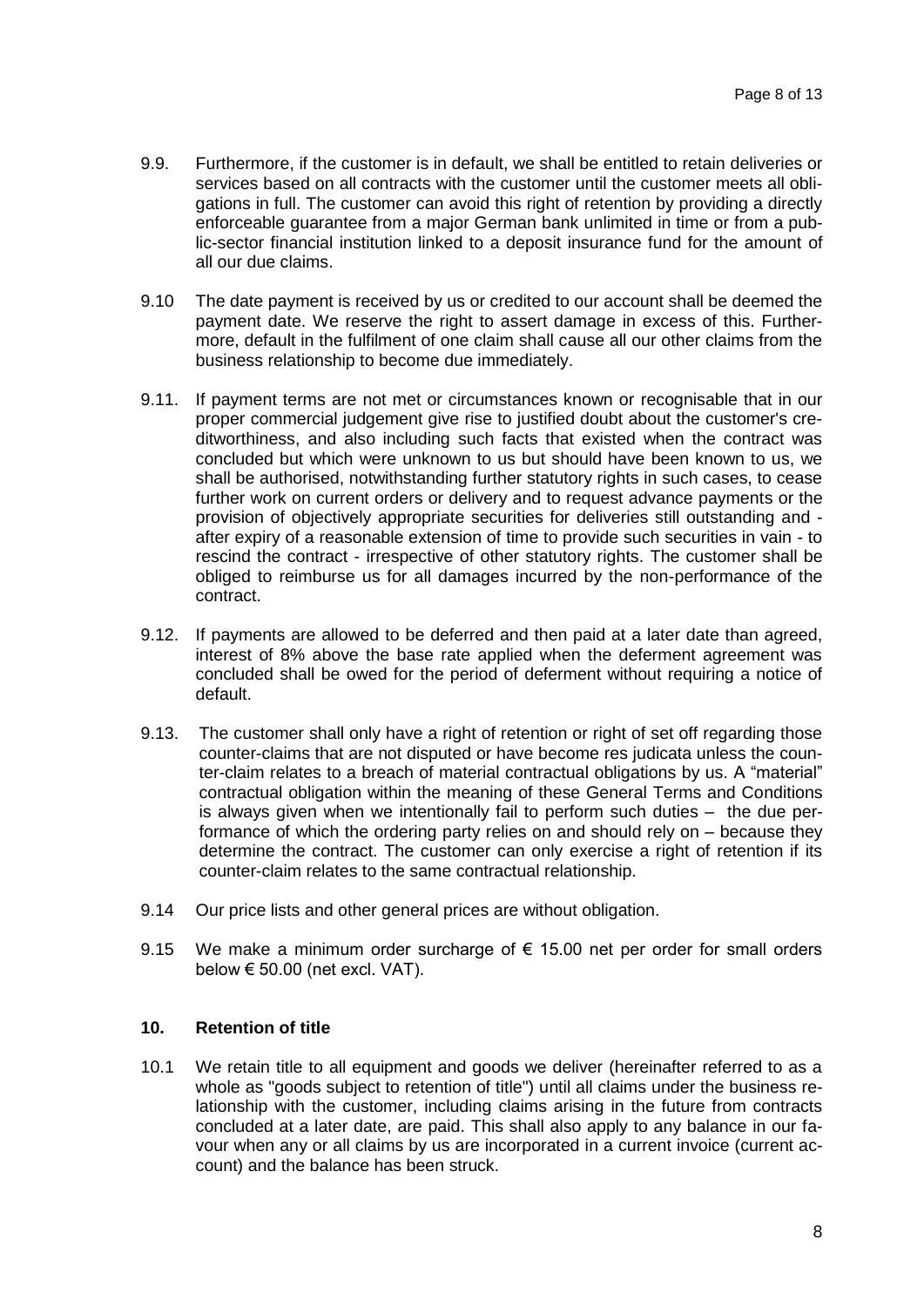- 9.9. Furthermore, if the customer is in default, we shall be entitled to retain deliveries or services based on all contracts with the customer until the customer meets all obligations in full. The customer can avoid this right of retention by providing a directly enforceable guarantee from a major German bank unlimited in time or from a public-sector financial institution linked to a deposit insurance fund for the amount of all our due claims.
- 9.10 The date payment is received by us or credited to our account shall be deemed the payment date. We reserve the right to assert damage in excess of this. Furthermore, default in the fulfilment of one claim shall cause all our other claims from the business relationship to become due immediately.
- 9.11. If payment terms are not met or circumstances known or recognisable that in our proper commercial judgement give rise to justified doubt about the customer's creditworthiness, and also including such facts that existed when the contract was concluded but which were unknown to us but should have been known to us, we shall be authorised, notwithstanding further statutory rights in such cases, to cease further work on current orders or delivery and to request advance payments or the provision of objectively appropriate securities for deliveries still outstanding and after expiry of a reasonable extension of time to provide such securities in vain - to rescind the contract - irrespective of other statutory rights. The customer shall be obliged to reimburse us for all damages incurred by the non-performance of the contract.
- 9.12. If payments are allowed to be deferred and then paid at a later date than agreed, interest of 8% above the base rate applied when the deferment agreement was concluded shall be owed for the period of deferment without requiring a notice of default.
- 9.13. The customer shall only have a right of retention or right of set off regarding those counter-claims that are not disputed or have become res judicata unless the counter-claim relates to a breach of material contractual obligations by us. A "material" contractual obligation within the meaning of these General Terms and Conditions is always given when we intentionally fail to perform such duties – the due performance of which the ordering party relies on and should rely on – because they determine the contract. The customer can only exercise a right of retention if its counter-claim relates to the same contractual relationship.
- 9.14 Our price lists and other general prices are without obligation.
- 9.15 We make a minimum order surcharge of  $\epsilon$  15.00 net per order for small orders below € 50.00 (net excl. VAT).

## **10. Retention of title**

10.1 We retain title to all equipment and goods we deliver (hereinafter referred to as a whole as "goods subject to retention of title") until all claims under the business relationship with the customer, including claims arising in the future from contracts concluded at a later date, are paid. This shall also apply to any balance in our favour when any or all claims by us are incorporated in a current invoice (current account) and the balance has been struck.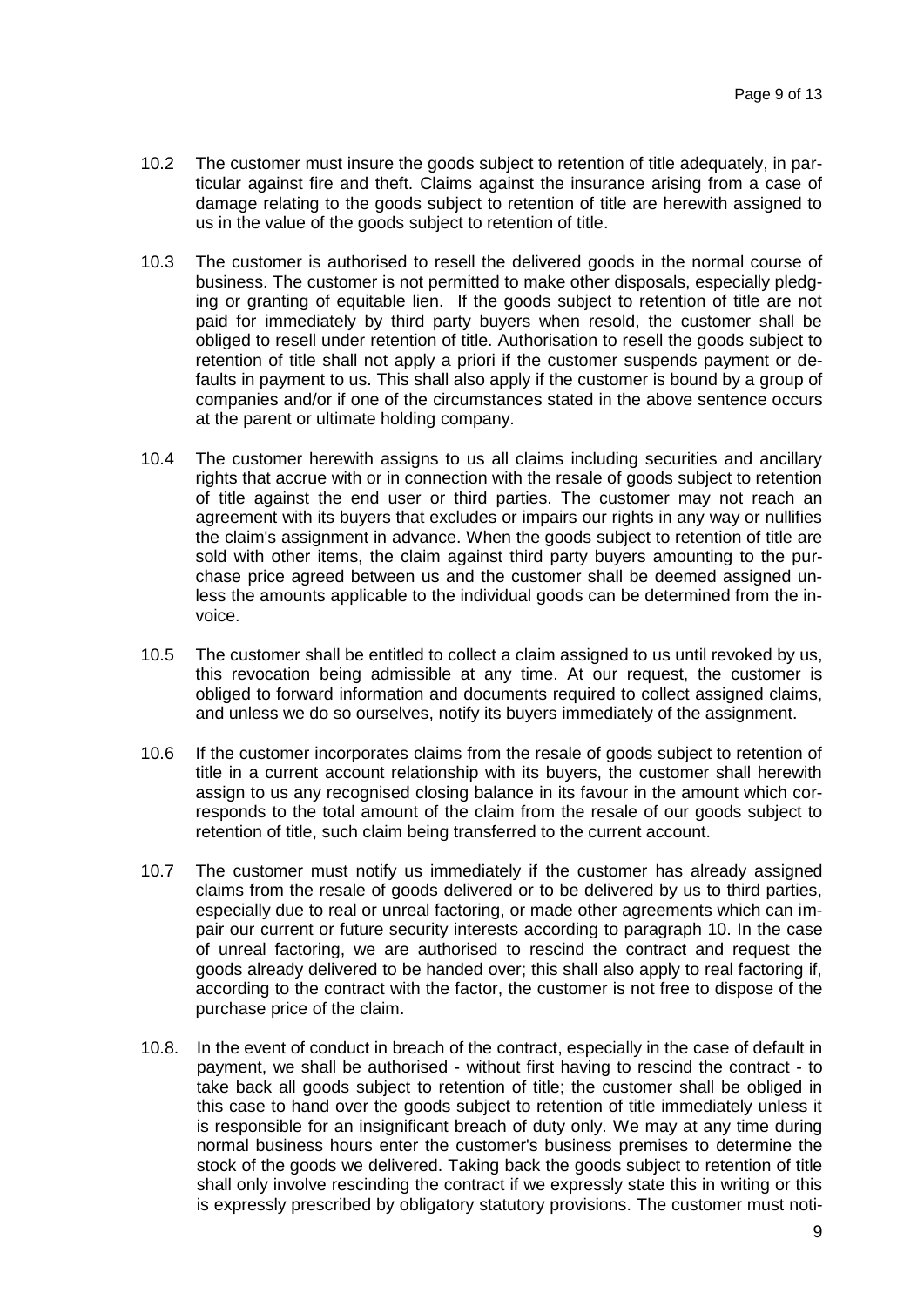- 10.2 The customer must insure the goods subject to retention of title adequately, in particular against fire and theft. Claims against the insurance arising from a case of damage relating to the goods subject to retention of title are herewith assigned to us in the value of the goods subject to retention of title.
- 10.3 The customer is authorised to resell the delivered goods in the normal course of business. The customer is not permitted to make other disposals, especially pledging or granting of equitable lien. If the goods subject to retention of title are not paid for immediately by third party buyers when resold, the customer shall be obliged to resell under retention of title. Authorisation to resell the goods subject to retention of title shall not apply a priori if the customer suspends payment or defaults in payment to us. This shall also apply if the customer is bound by a group of companies and/or if one of the circumstances stated in the above sentence occurs at the parent or ultimate holding company.
- 10.4 The customer herewith assigns to us all claims including securities and ancillary rights that accrue with or in connection with the resale of goods subject to retention of title against the end user or third parties. The customer may not reach an agreement with its buyers that excludes or impairs our rights in any way or nullifies the claim's assignment in advance. When the goods subject to retention of title are sold with other items, the claim against third party buyers amounting to the purchase price agreed between us and the customer shall be deemed assigned unless the amounts applicable to the individual goods can be determined from the invoice.
- 10.5 The customer shall be entitled to collect a claim assigned to us until revoked by us, this revocation being admissible at any time. At our request, the customer is obliged to forward information and documents required to collect assigned claims, and unless we do so ourselves, notify its buyers immediately of the assignment.
- 10.6 If the customer incorporates claims from the resale of goods subject to retention of title in a current account relationship with its buyers, the customer shall herewith assign to us any recognised closing balance in its favour in the amount which corresponds to the total amount of the claim from the resale of our goods subject to retention of title, such claim being transferred to the current account.
- 10.7 The customer must notify us immediately if the customer has already assigned claims from the resale of goods delivered or to be delivered by us to third parties, especially due to real or unreal factoring, or made other agreements which can impair our current or future security interests according to paragraph 10. In the case of unreal factoring, we are authorised to rescind the contract and request the goods already delivered to be handed over; this shall also apply to real factoring if, according to the contract with the factor, the customer is not free to dispose of the purchase price of the claim.
- 10.8. In the event of conduct in breach of the contract, especially in the case of default in payment, we shall be authorised - without first having to rescind the contract - to take back all goods subject to retention of title; the customer shall be obliged in this case to hand over the goods subject to retention of title immediately unless it is responsible for an insignificant breach of duty only. We may at any time during normal business hours enter the customer's business premises to determine the stock of the goods we delivered. Taking back the goods subject to retention of title shall only involve rescinding the contract if we expressly state this in writing or this is expressly prescribed by obligatory statutory provisions. The customer must noti-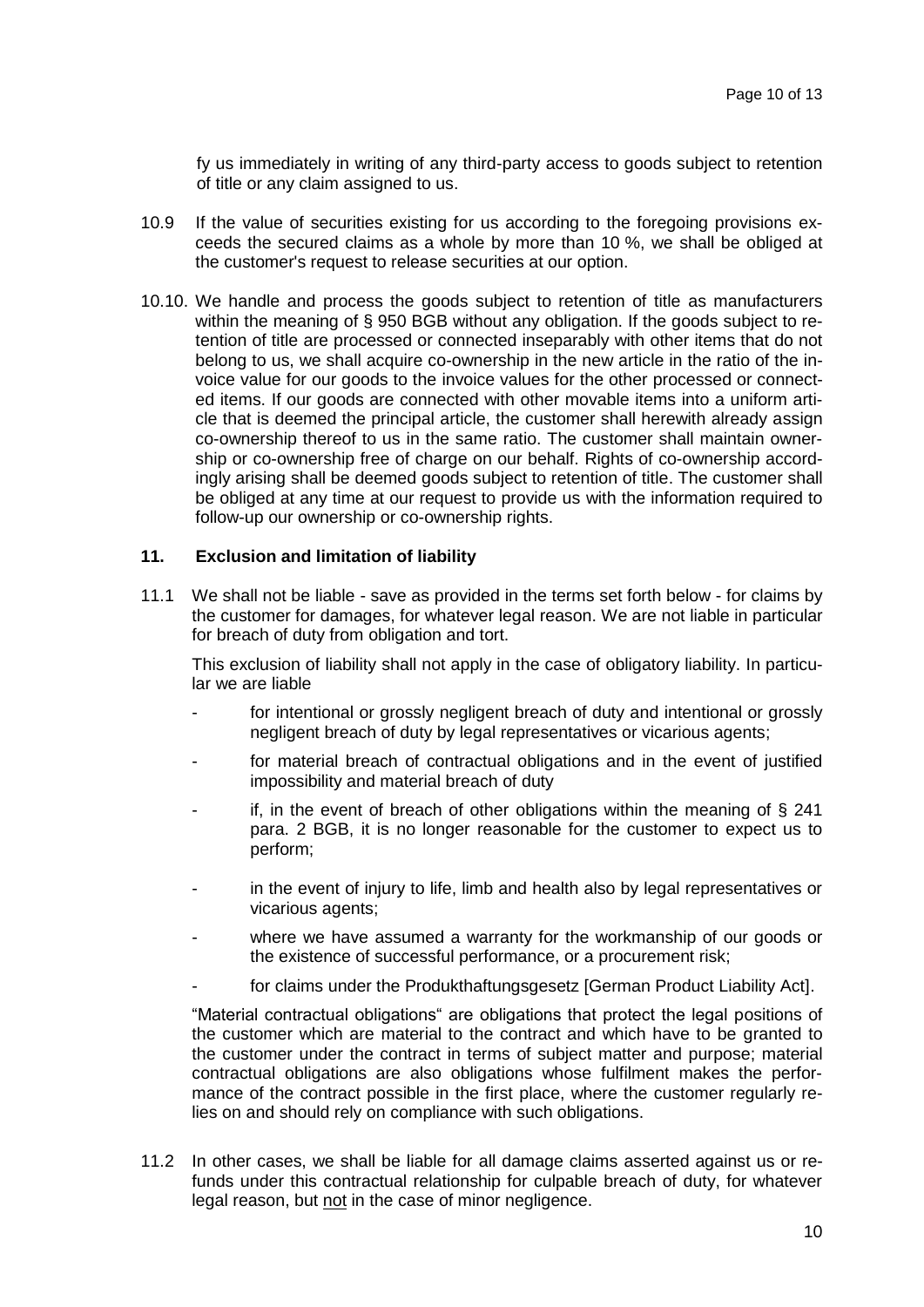fy us immediately in writing of any third-party access to goods subject to retention of title or any claim assigned to us.

- 10.9 If the value of securities existing for us according to the foregoing provisions exceeds the secured claims as a whole by more than 10 %, we shall be obliged at the customer's request to release securities at our option.
- 10.10. We handle and process the goods subject to retention of title as manufacturers within the meaning of § 950 BGB without any obligation. If the goods subject to retention of title are processed or connected inseparably with other items that do not belong to us, we shall acquire co-ownership in the new article in the ratio of the invoice value for our goods to the invoice values for the other processed or connected items. If our goods are connected with other movable items into a uniform article that is deemed the principal article, the customer shall herewith already assign co-ownership thereof to us in the same ratio. The customer shall maintain ownership or co-ownership free of charge on our behalf. Rights of co-ownership accordingly arising shall be deemed goods subject to retention of title. The customer shall be obliged at any time at our request to provide us with the information required to follow-up our ownership or co-ownership rights.

# **11. Exclusion and limitation of liability**

11.1 We shall not be liable - save as provided in the terms set forth below - for claims by the customer for damages, for whatever legal reason. We are not liable in particular for breach of duty from obligation and tort.

This exclusion of liability shall not apply in the case of obligatory liability. In particular we are liable

- for intentional or grossly negligent breach of duty and intentional or grossly negligent breach of duty by legal representatives or vicarious agents;
- for material breach of contractual obligations and in the event of justified impossibility and material breach of duty
- if, in the event of breach of other obligations within the meaning of  $\S$  241 para. 2 BGB, it is no longer reasonable for the customer to expect us to perform;
- in the event of injury to life, limb and health also by legal representatives or vicarious agents;
- where we have assumed a warranty for the workmanship of our goods or the existence of successful performance, or a procurement risk;
- for claims under the Produkthaftungsgesetz [German Product Liability Act].

"Material contractual obligations" are obligations that protect the legal positions of the customer which are material to the contract and which have to be granted to the customer under the contract in terms of subject matter and purpose; material contractual obligations are also obligations whose fulfilment makes the performance of the contract possible in the first place, where the customer regularly relies on and should rely on compliance with such obligations.

11.2 In other cases, we shall be liable for all damage claims asserted against us or refunds under this contractual relationship for culpable breach of duty, for whatever legal reason, but not in the case of minor negligence.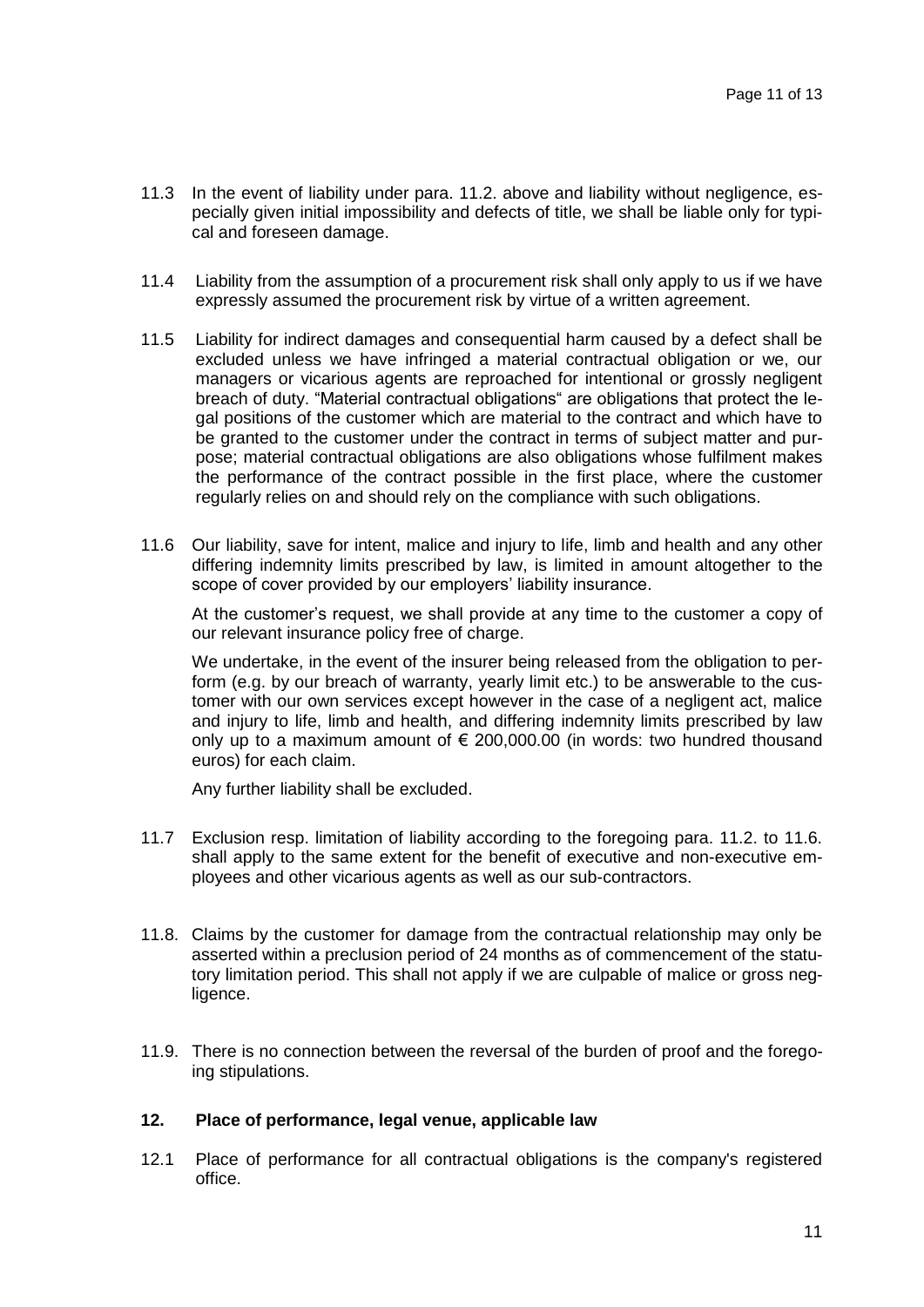- 11.3 In the event of liability under para. 11.2. above and liability without negligence, especially given initial impossibility and defects of title, we shall be liable only for typical and foreseen damage.
- 11.4 Liability from the assumption of a procurement risk shall only apply to us if we have expressly assumed the procurement risk by virtue of a written agreement.
- 11.5 Liability for indirect damages and consequential harm caused by a defect shall be excluded unless we have infringed a material contractual obligation or we, our managers or vicarious agents are reproached for intentional or grossly negligent breach of duty. "Material contractual obligations" are obligations that protect the legal positions of the customer which are material to the contract and which have to be granted to the customer under the contract in terms of subject matter and purpose; material contractual obligations are also obligations whose fulfilment makes the performance of the contract possible in the first place, where the customer regularly relies on and should rely on the compliance with such obligations.
- 11.6 Our liability, save for intent, malice and injury to life, limb and health and any other differing indemnity limits prescribed by law, is limited in amount altogether to the scope of cover provided by our employers' liability insurance.

At the customer's request, we shall provide at any time to the customer a copy of our relevant insurance policy free of charge.

We undertake, in the event of the insurer being released from the obligation to perform (e.g. by our breach of warranty, yearly limit etc.) to be answerable to the customer with our own services except however in the case of a negligent act, malice and injury to life, limb and health, and differing indemnity limits prescribed by law only up to a maximum amount of  $\epsilon$  200,000.00 (in words: two hundred thousand euros) for each claim.

Any further liability shall be excluded.

- 11.7 Exclusion resp. limitation of liability according to the foregoing para. 11.2. to 11.6. shall apply to the same extent for the benefit of executive and non-executive employees and other vicarious agents as well as our sub-contractors.
- 11.8. Claims by the customer for damage from the contractual relationship may only be asserted within a preclusion period of 24 months as of commencement of the statutory limitation period. This shall not apply if we are culpable of malice or gross negligence.
- 11.9. There is no connection between the reversal of the burden of proof and the foregoing stipulations.

### **12. Place of performance, legal venue, applicable law**

12.1 Place of performance for all contractual obligations is the company's registered office.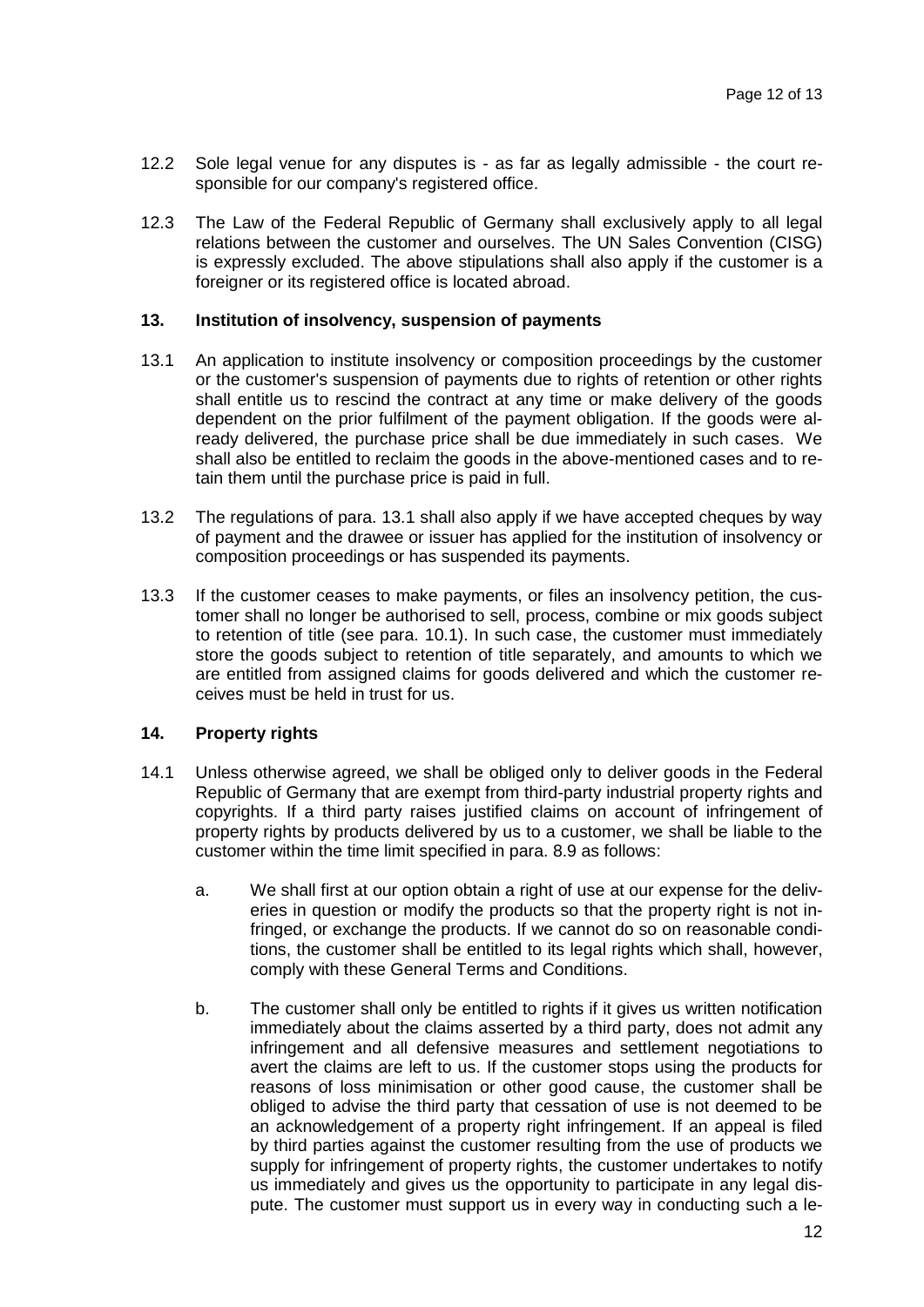- 12.2 Sole legal venue for any disputes is as far as legally admissible the court responsible for our company's registered office.
- 12.3 The Law of the Federal Republic of Germany shall exclusively apply to all legal relations between the customer and ourselves. The UN Sales Convention (CISG) is expressly excluded. The above stipulations shall also apply if the customer is a foreigner or its registered office is located abroad.

# **13. Institution of insolvency, suspension of payments**

- 13.1 An application to institute insolvency or composition proceedings by the customer or the customer's suspension of payments due to rights of retention or other rights shall entitle us to rescind the contract at any time or make delivery of the goods dependent on the prior fulfilment of the payment obligation. If the goods were already delivered, the purchase price shall be due immediately in such cases. We shall also be entitled to reclaim the goods in the above-mentioned cases and to retain them until the purchase price is paid in full.
- 13.2 The regulations of para. 13.1 shall also apply if we have accepted cheques by way of payment and the drawee or issuer has applied for the institution of insolvency or composition proceedings or has suspended its payments.
- 13.3 If the customer ceases to make payments, or files an insolvency petition, the customer shall no longer be authorised to sell, process, combine or mix goods subject to retention of title (see para. 10.1). In such case, the customer must immediately store the goods subject to retention of title separately, and amounts to which we are entitled from assigned claims for goods delivered and which the customer receives must be held in trust for us.

### **14. Property rights**

- 14.1 Unless otherwise agreed, we shall be obliged only to deliver goods in the Federal Republic of Germany that are exempt from third-party industrial property rights and copyrights. If a third party raises justified claims on account of infringement of property rights by products delivered by us to a customer, we shall be liable to the customer within the time limit specified in para. 8.9 as follows:
	- a. We shall first at our option obtain a right of use at our expense for the deliveries in question or modify the products so that the property right is not infringed, or exchange the products. If we cannot do so on reasonable conditions, the customer shall be entitled to its legal rights which shall, however, comply with these General Terms and Conditions.
	- b. The customer shall only be entitled to rights if it gives us written notification immediately about the claims asserted by a third party, does not admit any infringement and all defensive measures and settlement negotiations to avert the claims are left to us. If the customer stops using the products for reasons of loss minimisation or other good cause, the customer shall be obliged to advise the third party that cessation of use is not deemed to be an acknowledgement of a property right infringement. If an appeal is filed by third parties against the customer resulting from the use of products we supply for infringement of property rights, the customer undertakes to notify us immediately and gives us the opportunity to participate in any legal dispute. The customer must support us in every way in conducting such a le-